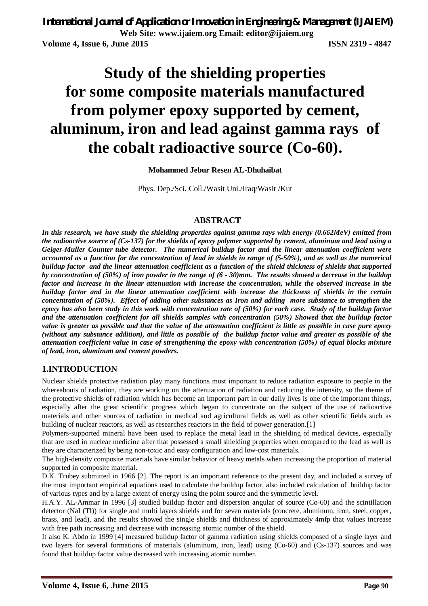*International Journal of Application or Innovation in Engineering & Management (IJAIEM)* **Web Site: www.ijaiem.org Email: editor@ijaiem.org Volume 4, Issue 6, June 2015 ISSN 2319 - 4847**

# **Study of the shielding properties for some composite materials manufactured from polymer epoxy supported by cement, aluminum, iron and lead against gamma rays of the cobalt radioactive source (Co-60).**

**Mohammed Jebur Resen AL-Dhuhaibat**

Phys. Dep./Sci. Coll./Wasit Uni./Iraq/Wasit /Kut

#### **ABSTRACT**

*In this research, we have study the shielding properties against gamma rays with energy (0.662MeV) emitted from the radioactive source of (Cs-137) for the shields of epoxy polymer supported by cement, aluminum and lead using a Geiger-Muller Counter tube detector. The numerical buildup factor and the linear attenuation coefficient were accounted as a function for the concentration of lead in shields in range of (5-50%), and as well as the numerical buildup factor and the linear attenuation coefficient as a function of the shield thickness of shields that supported by concentration of (50%) of iron powder in the range of (6 - 30)mm. The results showed a decrease in the buildup factor and increase in the linear attenuation with increase the concentration, while the observed increase in the buildup factor and in the linear attenuation coefficient with increase the thickness of shields in the certain concentration of (50%). Effect of adding other substances as Iron and adding more substance to strengthen the epoxy has also been study in this work with concentration rate of (50%) for each case. Study of the buildup factor and the attenuation coefficient for all shields samples with concentration (50%) Showed that the buildup factor value is greater as possible and that the value of the attenuation coefficient is little as possible in case pure epoxy (without any substance addition), and little as possible of the buildup factor value and greater as possible of the attenuation coefficient value in case of strengthening the epoxy with concentration (50%) of equal blocks mixture of lead, iron, aluminum and cement powders.*

#### **1.INTRODUCTION**

Nuclear shields protective radiation play many functions most important to reduce radiation exposure to people in the whereabouts of radiation, they are working on the attenuation of radiation and reducing the intensity, so the theme of the protective shields of radiation which has become an important part in our daily lives is one of the important things, especially after the great scientific progress which began to concentrate on the subject of the use of radioactive materials and other sources of radiation in medical and agricultural fields as well as other scientific fields such as building of nuclear reactors, as well as researches reactors in the field of power generation.[1]

Polymers-supported mineral have been used to replace the metal lead in the shielding of medical devices, especially that are used in nuclear medicine after that possessed a small shielding properties when compared to the lead as well as they are characterized by being non-toxic and easy configuration and low-cost materials.

The high-density composite materials have similar behavior of heavy metals when increasing the proportion of material supported in composite material.

D.K. Trubey submitted in 1966 [2]. The report is an important reference to the present day, and included a survey of the most important empirical equations used to calculate the buildup factor, also included calculation of buildup factor of various types and by a large extent of energy using the point source and the symmetric level.

H.A.Y. AL-Ammar in 1996 [3] studied buildup factor and dispersion angular of source (Co-60) and the scintillation detector (NaI (Tl)) for single and multi layers shields and for seven materials (concrete, aluminum, iron, steel, copper, brass, and lead), and the results showed the single shields and thickness of approximately 4mfp that values increase with free path increasing and decrease with increasing atomic number of the shield.

It also K. Abdo in 1999 [4] measured buildup factor of gamma radiation using shields composed of a single layer and two layers for several formations of materials (aluminum, iron, lead) using (Co-60) and (Cs-137) sources and was found that buildup factor value decreased with increasing atomic number.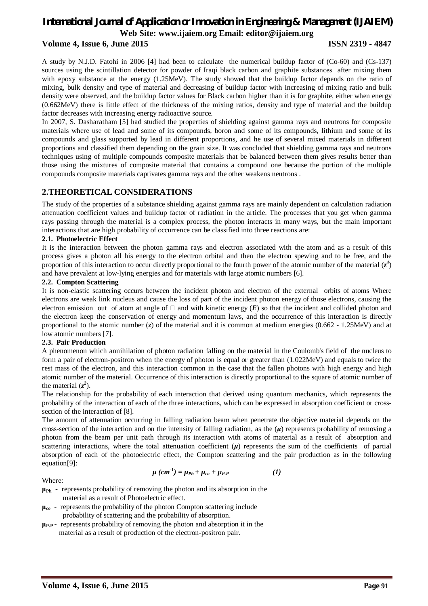#### **Volume 4, Issue 6, June 2015 ISSN 2319 - 4847**

A study by N.J.D. Fatohi in 2006 [4] had been to calculate the numerical buildup factor of (Co-60) and (Cs-137) sources using the scintillation detector for powder of Iraqi black carbon and graphite substances after mixing them with epoxy substance at the energy (1.25MeV). The study showed that the buildup factor depends on the ratio of mixing, bulk density and type of material and decreasing of buildup factor with increasing of mixing ratio and bulk density were observed, and the buildup factor values for Black carbon higher than it is for graphite, either when energy (0.662MeV) there is little effect of the thickness of the mixing ratios, density and type of material and the buildup factor decreases with increasing energy radioactive source.

In 2007, S. Dasharatham [5] had studied the properties of shielding against gamma rays and neutrons for composite materials where use of lead and some of its compounds, boron and some of its compounds, lithium and some of its compounds and glass supported by lead in different proportions, and he use of several mixed materials in different proportions and classified them depending on the grain size. It was concluded that shielding gamma rays and neutrons techniques using of multiple compounds composite materials that be balanced between them gives results better than those using the mixtures of composite material that contains a compound one because the portion of the multiple compounds composite materials captivates gamma rays and the other weakens neutrons .

#### **2.THEORETICAL CONSIDERATIONS**

The study of the properties of a substance shielding against gamma rays are mainly dependent on calculation radiation attenuation coefficient values and buildup factor of radiation in the article. The processes that you get when gamma rays passing through the material is a complex process, the photon interacts in many ways, but the main important interactions that are high probability of occurrence can be classified into three reactions are:

#### **2.1. Photoelectric Effect**

It is the interaction between the photon gamma rays and electron associated with the atom and as a result of this process gives a photon all his energy to the electron orbital and then the electron spewing and to be free, and the proportion of this interaction to occur directly proportional to the fourth power of the atomic number of the material  $(z^4)$ and have prevalent at low-lying energies and for materials with large atomic numbers [6].

#### **2.2. Compton Scattering**

It is non-elastic scattering occurs between the incident photon and electron of the external orbits of atoms Where electrons are weak link nucleus and cause the loss of part of the incident photon energy of those electrons, causing the electron emission out of atom at angle of  $\Box$  and with kinetic energy  $(E)$  so that the incident and collided photon and the electron keep the conservation of energy and momentum laws, and the occurrence of this interaction is directly proportional to the atomic number (*z*) of the material and it is common at medium energies (0.662 - 1.25MeV) and at low atomic numbers [7].

#### **2.3. Pair Production**

A phenomenon which annihilation of photon radiation falling on the material in the Coulomb's field of the nucleus to form a pair of electron-positron when the energy of photon is equal or greater than (1.022MeV) and equals to twice the rest mass of the electron, and this interaction common in the case that the fallen photons with high energy and high atomic number of the material. Occurrence of this interaction is directly proportional to the square of atomic number of the material  $(z^2)$ .

The relationship for the probability of each interaction that derived using quantum mechanics, which represents the probability of the interaction of each of the three interactions, which can be expressed in absorption coefficient or crosssection of the interaction of [8].

The amount of attenuation occurring in falling radiation beam when penetrate the objective material depends on the cross-section of the interaction and on the intensity of falling radiation, as the (*μ*) represents probability of removing a photon from the beam per unit path through its interaction with atoms of material as a result of absorption and scattering interactions, where the total attenuation coefficient  $(\mu)$  represents the sum of the coefficients of partial absorption of each of the photoelectric effect, the Compton scattering and the pair production as in the following equation[9]:

Where:

$$
\mu\left(cm^{-1}\right) = \mu_{Ph} + \mu_{co} + \mu_{P.P}
$$
 (1)

**μPh** - represents probability of removing the photon and its absorption in the

- material as a result of Photoelectric effect.
- **μco**  represents the probability of the photon Compton scattering include probability of scattering and the probability of absorption.
- **μP.P** represents probability of removing the photon and absorption it in the material as a result of production of the electron-positron pair.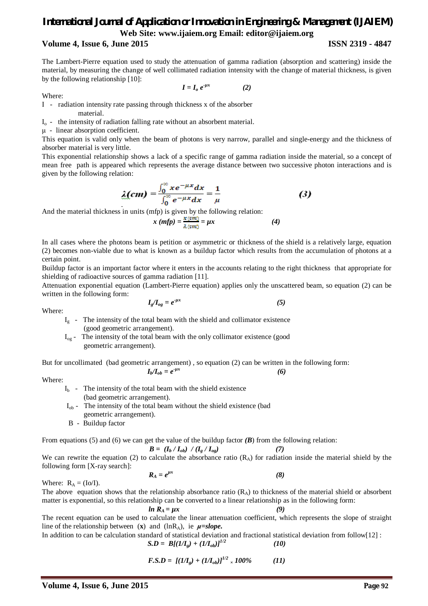#### **Volume 4, Issue 6, June 2015 ISSN 2319 - 4847**

The Lambert-Pierre equation used to study the attenuation of gamma radiation (absorption and scattering) inside the material, by measuring the change of well collimated radiation intensity with the change of material thickness, is given by the following relationship [10]:

Where:

$$
I = I_o e^{-\mu x} \tag{2}
$$

I - radiation intensity rate passing through thickness x of the absorber material.

 $I_0$  - the intensity of radiation falling rate without an absorbent material.

μ - linear absorption coefficient.

This equation is valid only when the beam of photons is very narrow, parallel and single-energy and the thickness of absorber material is very little.

This exponential relationship shows a lack of a specific range of gamma radiation inside the material, so a concept of mean free path is appeared which represents the average distance between two successive photon interactions and is given by the following relation:

$$
\lambda (cm) = \frac{\int_0^\infty x e^{-\mu x} dx}{\int_0^\infty e^{-\mu x} dx} = \frac{1}{\mu}
$$
 (3)

And the material thickness in units (mfp) is given by the following relation:

$$
x (mfp) = \frac{x (cm)}{\lambda (cm)} = \mu x
$$
 (4)

In all cases where the photons beam is petition or asymmetric or thickness of the shield is a relatively large, equation (2) becomes non-viable due to what is known as a buildup factor which results from the accumulation of photons at a certain point.

Buildup factor is an important factor where it enters in the accounts relating to the right thickness that appropriate for shielding of radioactive sources of gamma radiation [11].

Attenuation exponential equation (Lambert-Pierre equation) applies only the unscattered beam, so equation (2) can be written in the following form:

$$
I_g/I_{og} = e^{-\mu x} \tag{5}
$$

Where:

- $I_g$  The intensity of the total beam with the shield and collimator existence (good geometric arrangement).
- Iog The intensity of the total beam with the only collimator existence (good geometric arrangement).

But for uncollimated (bad geometric arrangement) , so equation (2) can be written in the following form:  $I_b/I_{ob} = e^{-\mu x}$ 

$$
\begin{array}{c}\n\text{(6)} \\
\end{array}
$$

Where:

 $I<sub>b</sub>$  - The intensity of the total beam with the shield existence (bad geometric arrangement).

- $I_{\text{ob}}$  The intensity of the total beam without the shield existence (bad geometric arrangement).
- B Buildup factor

From equations (5) and (6) we can get the value of the buildup factor *(B*) from the following relation:

$$
B = (I_b / I_{ob}) / (I_g / I_{og}) \tag{7}
$$

We can rewrite the equation (2) to calculate the absorbance ratio  $(R_A)$  for radiation inside the material shield by the following form [X-ray search]:

$$
R_A = e^{\mu x} \tag{8}
$$

Where:  $R_A = (Io/I)$ .

The above equation shows that the relationship absorbance ratio  $(R_A)$  to thickness of the material shield or absorbent matter is exponential, so this relationship can be converted to a linear relationship as in the following form:

$$
ln R_A = \mu x \tag{9}
$$

The recent equation can be used to calculate the linear attenuation coefficient, which represents the slope of straight line of the relationship between  $(x)$  and  $(lnR_A)$ , ie  $\mu = slope$ .

In addition to can be calculation standard of statistical deviation and fractional statistical deviation from follow[12] :

$$
S.D = B[(1/Ig) + (1/Iob)]1/2
$$
 (10)

$$
F.S.D = [(1/I_g) + (1/I_{ob})]^{1/2} \times 100\% \tag{11}
$$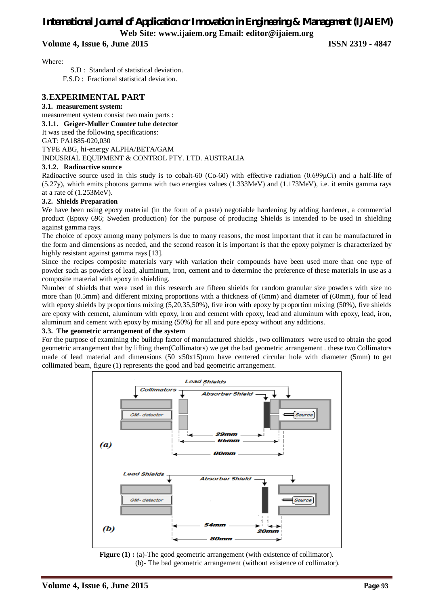**Volume 4, Issue 6, June 2015 ISSN 2319 - 4847**

Where:

 S.D : Standard of statistical deviation. F.S.D : Fractional statistical deviation.

#### **3.EXPERIMENTAL PART**

#### **3.1. measurement system:**

measurement system consist two main parts :

**3.1.1. Geiger-Muller Counter tube detector**

It was used the following specifications:

GAT: PA1885-020,030

TYPE ABG, hi-energy ALPHA/BETA/GAM INDUSRIAL EQUIPMENT & CONTROL PTY. LTD. AUSTRALIA

#### **3.1.2. Radioactive source**

Radioactive source used in this study is to cobalt-60 (Co-60) with effective radiation (0.699μCi) and a half-life of (5.27y), which emits photons gamma with two energies values (1.333MeV) and (1.173MeV), i.e. it emits gamma rays at a rate of (1.253MeV).

#### **3.2. Shields Preparation**

We have been using epoxy material (in the form of a paste) negotiable hardening by adding hardener, a commercial product (Epoxy 696; Sweden production) for the purpose of producing Shields is intended to be used in shielding against gamma rays.

The choice of epoxy among many polymers is due to many reasons, the most important that it can be manufactured in the form and dimensions as needed, and the second reason it is important is that the epoxy polymer is characterized by highly resistant against gamma rays [13].

Since the recipes composite materials vary with variation their compounds have been used more than one type of powder such as powders of lead, aluminum, iron, cement and to determine the preference of these materials in use as a composite material with epoxy in shielding.

Number of shields that were used in this research are fifteen shields for random granular size powders with size no more than (0.5mm) and different mixing proportions with a thickness of (6mm) and diameter of (60mm), four of lead with epoxy shields by proportions mixing (5,20,35,50%), five iron with epoxy by proportion mixing (50%), five shields are epoxy with cement, aluminum with epoxy, iron and cement with epoxy, lead and aluminum with epoxy, lead, iron, aluminum and cement with epoxy by mixing (50%) for all and pure epoxy without any additions.

#### **3.3. The geometric arrangement of the system**

For the purpose of examining the buildup factor of manufactured shields , two collimators were used to obtain the good geometric arrangement that by lifting them(Collimators) we get the bad geometric arrangement . these two Collimators made of lead material and dimensions (50 x50x15)mm have centered circular hole with diameter (5mm) to get collimated beam, figure (1) represents the good and bad geometric arrangement.



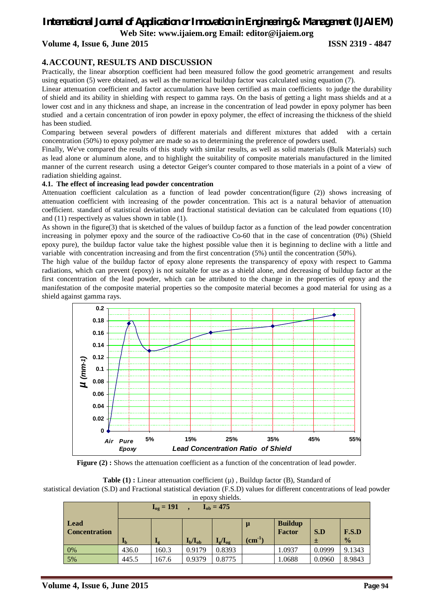## *International Journal of Application or Innovation in Engineering & Management (IJAIEM)*

**Web Site: www.ijaiem.org Email: editor@ijaiem.org**

#### **Volume 4, Issue 6, June 2015 ISSN 2319 - 4847**

#### **4.ACCOUNT, RESULTS AND DISCUSSION**

Practically, the linear absorption coefficient had been measured follow the good geometric arrangement and results using equation (5) were obtained, as well as the numerical buildup factor was calculated using equation (7).

Linear attenuation coefficient and factor accumulation have been certified as main coefficients to judge the durability of shield and its ability in shielding with respect to gamma rays. On the basis of getting a light mass shields and at a lower cost and in any thickness and shape, an increase in the concentration of lead powder in epoxy polymer has been studied and a certain concentration of iron powder in epoxy polymer, the effect of increasing the thickness of the shield has been studied.

Comparing between several powders of different materials and different mixtures that added with a certain concentration (50%) to epoxy polymer are made so as to determining the preference of powders used.

Finally, We've compared the results of this study with similar results, as well as solid materials (Bulk Materials) such as lead alone or aluminum alone, and to highlight the suitability of composite materials manufactured in the limited manner of the current research using a detector Geiger's counter compared to those materials in a point of a view of radiation shielding against.

#### **4.1. The effect of increasing lead powder concentration**

Attenuation coefficient calculation as a function of lead powder concentration(figure (2)) shows increasing of attenuation coefficient with increasing of the powder concentration. This act is a natural behavior of attenuation coefficient. standard of statistical deviation and fractional statistical deviation can be calculated from equations (10) and (11) respectively as values shown in table (1).

As shown in the figure(3) that is sketched of the values of buildup factor as a function of the lead powder concentration increasing in polymer epoxy and the source of the radioactive Co-60 that in the case of concentration (0%) (Shield epoxy pure), the buildup factor value take the highest possible value then it is beginning to decline with a little and variable with concentration increasing and from the first concentration (5%) until the concentration (50%).

The high value of the buildup factor of epoxy alone represents the transparency of epoxy with respect to Gamma radiations, which can prevent (epoxy) is not suitable for use as a shield alone, and decreasing of buildup factor at the first concentration of the lead powder, which can be attributed to the change in the properties of epoxy and the manifestation of the composite material properties so the composite material becomes a good material for using as a shield against gamma rays.



**Figure (2) :** Shows the attenuation coefficient as a function of the concentration of lead powder.

**Table (1) :** Linear attenuation coefficient  $(\mu)$ , Buildup factor (B), Standard of statistical deviation (S.D) and Fractional statistical deviation (F.S.D) values for different concentrations of lead powder

| in epoxy shields.            |                                  |                            |              |                        |          |                                 |        |               |  |  |
|------------------------------|----------------------------------|----------------------------|--------------|------------------------|----------|---------------------------------|--------|---------------|--|--|
|                              | $I_{og} = 191$<br>$I_{ob} = 475$ |                            |              |                        |          |                                 |        |               |  |  |
| Lead<br><b>Concentration</b> |                                  |                            |              |                        | μ        | <b>Buildup</b><br><b>Factor</b> | S.D    | F.S.D         |  |  |
|                              | $I_{\rm b}$                      | $\mathbf{I}_{\mathcal{G}}$ | $I_b/I_{ob}$ | $I_{\rm g}/I_{\rm og}$ | $(cm-1)$ |                                 | ±.     | $\frac{0}{0}$ |  |  |
| 0%                           | 436.0                            | 160.3                      | 0.9179       | 0.8393                 |          | 1.0937                          | 0.0999 | 9.1343        |  |  |
| 5%                           | 445.5                            | 167.6                      | 0.9379       | 0.8775                 |          | 1.0688                          | 0.0960 | 8.9843        |  |  |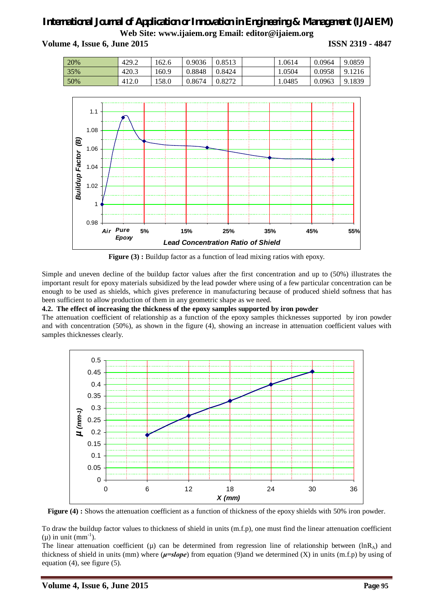**Volume 4, Issue 6, June 2015 ISSN 2319 - 4847**

| 20% | 429.2 | 162.6 | 0.9036 | 0.8513 | 1.0614 | 0.0964 | 9.0859 |
|-----|-------|-------|--------|--------|--------|--------|--------|
| 35% | 420.3 | 160.9 | 0.8848 | 0.8424 | 1.0504 | 0.0958 | 9.1216 |
| 50% | 412.0 | 158.0 | 0.8674 | 0.8272 | 1.0485 | 0.0963 | 9.1839 |



**Figure (3) :** Buildup factor as a function of lead mixing ratios with epoxy.

Simple and uneven decline of the buildup factor values after the first concentration and up to (50%) illustrates the important result for epoxy materials subsidized by the lead powder where using of a few particular concentration can be enough to be used as shields, which gives preference in manufacturing because of produced shield softness that has been sufficient to allow production of them in any geometric shape as we need.

#### **4.2. The effect of increasing the thickness of the epoxy samples supported by iron powder**

The attenuation coefficient of relationship as a function of the epoxy samples thicknesses supported by iron powder and with concentration (50%), as shown in the figure (4), showing an increase in attenuation coefficient values with samples thicknesses clearly.



**Figure (4) :** Shows the attenuation coefficient as a function of thickness of the epoxy shields with 50% iron powder.

To draw the buildup factor values to thickness of shield in units (m.f.p), one must find the linear attenuation coefficient  $(\mu)$  in unit  $(mm^{-1})$ .

The linear attenuation coefficient ( $\mu$ ) can be determined from regression line of relationship between (lnR<sub>A</sub>) and thickness of shield in units (mm) where (*μ=slope*) from equation (9)and we determined (X) in units (m.f.p) by using of equation (4), see figure (5).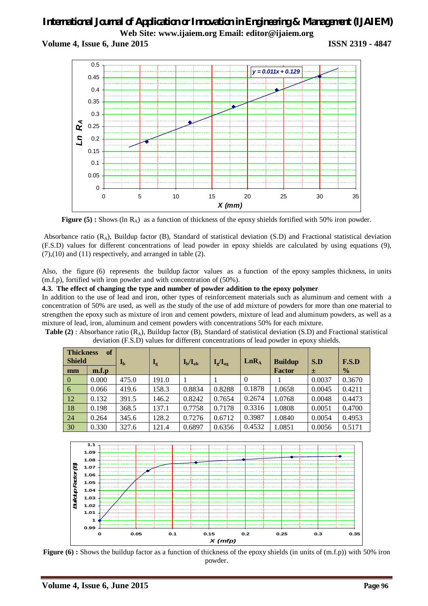**Volume 4, Issue 6, June 2015 ISSN 2319 - 4847**



**Figure (5) :** Shows (ln R<sub>A</sub>) as a function of thickness of the epoxy shields fortified with 50% iron powder.

Absorbance ratio  $(R_A)$ , Buildup factor  $(B)$ , Standard of statistical deviation  $(S.D)$  and Fractional statistical deviation (F.S.D) values for different concentrations of lead powder in epoxy shields are calculated by using equations (9),  $(7)$ , $(10)$  and  $(11)$  respectively, and arranged in table  $(2)$ .

Also, the figure (6) represents the buildup factor values as a function of the epoxy samples thickness, in units (m.f.p), fortified with iron powder and with concentration of (50%).

#### **4.3. The effect of changing the type and number of powder addition to the epoxy polymer**

In addition to the use of lead and iron, other types of reinforcement materials such as aluminum and cement with a concentration of 50% are used, as well as the study of the use of add mixture of powders for more than one material to strengthen the epoxy such as mixture of iron and cement powders, mixture of lead and aluminum powders, as well as a mixture of lead, iron, aluminum and cement powders with concentrations 50% for each mixture.

**Table (2)**: Absorbance ratio (R<sub>A</sub>), Buildup factor (B), Standard of statistical deviation (S.D) and Fractional statistical deviation (F.S.D) values for different concentrations of lead powder in epoxy shields.

| <b>of</b><br><b>Thickness</b><br><b>Shield</b> |       | $\mathbf{I}_{\mathbf{b}}$ | $I_{\alpha}$ | $I_{b}/I_{ob}$ | $I_g/I_{og}$ | LnR <sub>A</sub> | <b>Buildup</b> | S.D    | F.S.D         |
|------------------------------------------------|-------|---------------------------|--------------|----------------|--------------|------------------|----------------|--------|---------------|
| mm                                             | m.f.p |                           |              |                |              |                  | <b>Factor</b>  | 士      | $\frac{0}{0}$ |
| $\overline{0}$                                 | 0.000 | 475.0                     | 191.0        |                |              | $\overline{0}$   |                | 0.0037 | 0.3670        |
| 6                                              | 0.066 | 419.6                     | 158.3        | 0.8834         | 0.8288       | 0.1878           | 1.0658         | 0.0045 | 0.4211        |
| 12                                             | 0.132 | 391.5                     | 146.2        | 0.8242         | 0.7654       | 0.2674           | 1.0768         | 0.0048 | 0.4473        |
| 18                                             | 0.198 | 368.5                     | 137.1        | 0.7758         | 0.7178       | 0.3316           | 1.0808         | 0.0051 | 0.4700        |
| 24                                             | 0.264 | 345.6                     | 128.2        | 0.7276         | 0.6712       | 0.3987           | 1.0840         | 0.0054 | 0.4953        |
| 30                                             | 0.330 | 327.6                     | 121.4        | 0.6897         | 0.6356       | 0.4532           | 1.0851         | 0.0056 | 0.5171        |



**Figure (6)**: Shows the buildup factor as a function of thickness of the epoxy shields (in units of (m.f.p)) with 50% iron powder.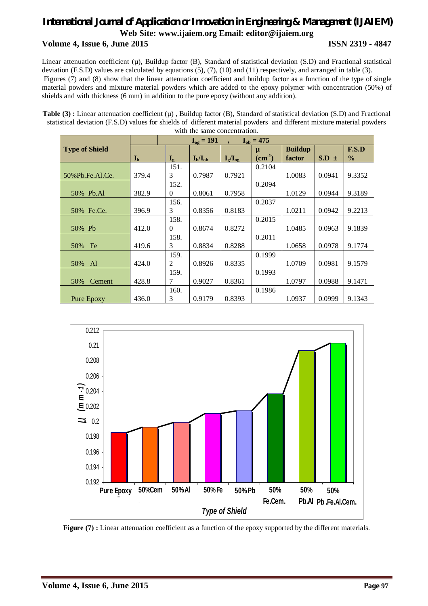### *International Journal of Application or Innovation in Engineering & Management (IJAIEM)* **Web Site: www.ijaiem.org Email: editor@ijaiem.org Volume 4, Issue 6, June 2015 ISSN 2319 - 4847**

Linear attenuation coefficient  $(\mu)$ , Buildup factor (B), Standard of statistical deviation (S.D) and Fractional statistical deviation (F.S.D) values are calculated by equations (5), (7), (10) and (11) respectively, and arranged in table (3). Figures (7) and (8) show that the linear attenuation coefficient and buildup factor as a function of the type of single material powders and mixture material powders which are added to the epoxy polymer with concentration (50%) of shields and with thickness (6 mm) in addition to the pure epoxy (without any addition).

Table (3) : Linear attenuation coefficient ( $\mu$ ), Buildup factor (B), Standard of statistical deviation (S.D) and Fractional statistical deviation (F.S.D) values for shields of different material powders and different mixture material powders with the same concentration.

|                       |                           |              | $I_{og} = 191$ | $I_{ob} = 475$         |          |                |           |               |
|-----------------------|---------------------------|--------------|----------------|------------------------|----------|----------------|-----------|---------------|
| <b>Type of Shield</b> |                           |              |                |                        | μ        | <b>Buildup</b> |           | F.S.D         |
|                       | $\mathbf{I}_{\mathbf{b}}$ | $I_{\sigma}$ | $I_{b}/I_{ob}$ | $I_{\rm g}/I_{\rm og}$ | $(cm-1)$ | factor         | $S.D \pm$ | $\frac{0}{0}$ |
|                       |                           | 151.         |                |                        | 0.2104   |                |           |               |
| 50% Pb. Fe. Al. Ce.   | 379.4                     | 3            | 0.7987         | 0.7921                 |          | 1.0083         | 0.0941    | 9.3352        |
|                       |                           | 152.         |                |                        | 0.2094   |                |           |               |
| 50% Pb.Al             | 382.9                     | $\Omega$     | 0.8061         | 0.7958                 |          | 1.0129         | 0.0944    | 9.3189        |
|                       |                           | 156.         |                |                        | 0.2037   |                |           |               |
| 50% Fe.Ce.            | 396.9                     | 3            | 0.8356         | 0.8183                 |          | 1.0211         | 0.0942    | 9.2213        |
|                       |                           | 158.         |                |                        | 0.2015   |                |           |               |
| 50% Pb                | 412.0                     | $\Omega$     | 0.8674         | 0.8272                 |          | 1.0485         | 0.0963    | 9.1839        |
|                       |                           | 158.         |                |                        | 0.2011   |                |           |               |
| 50%<br>Fe             | 419.6                     | 3            | 0.8834         | 0.8288                 |          | 1.0658         | 0.0978    | 9.1774        |
|                       |                           | 159.         |                |                        | 0.1999   |                |           |               |
| 50%<br>Al             | 424.0                     | 2            | 0.8926         | 0.8335                 |          | 1.0709         | 0.0981    | 9.1579        |
|                       |                           | 159.         |                |                        | 0.1993   |                |           |               |
| 50%<br>Cement         | 428.8                     | 7            | 0.9027         | 0.8361                 |          | 1.0797         | 0.0988    | 9.1471        |
|                       |                           | 160.         |                |                        | 0.1986   |                |           |               |
| Pure Epoxy            | 436.0                     | 3            | 0.9179         | 0.8393                 |          | 1.0937         | 0.0999    | 9.1343        |



**Figure (7) :** Linear attenuation coefficient as a function of the epoxy supported by the different materials.